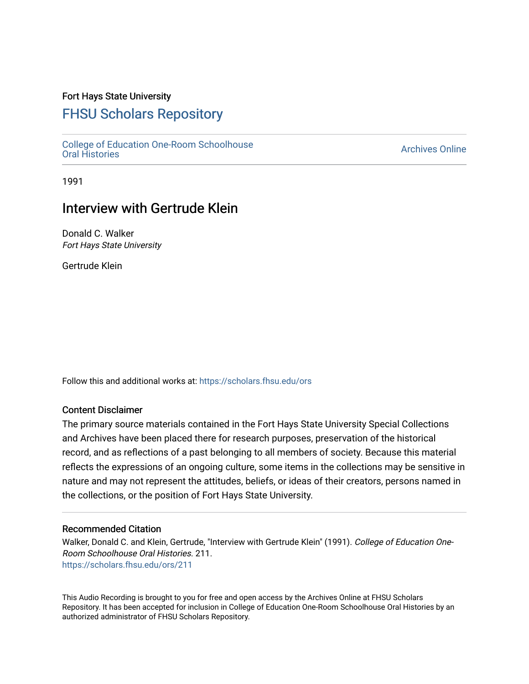### Fort Hays State University

# [FHSU Scholars Repository](https://scholars.fhsu.edu/)

[College of Education One-Room Schoolhouse](https://scholars.fhsu.edu/ors) [Oral Histories](https://scholars.fhsu.edu/ors) [Archives Online](https://scholars.fhsu.edu/archives) 

1991

# Interview with Gertrude Klein

Donald C. Walker Fort Hays State University

Gertrude Klein

Follow this and additional works at: [https://scholars.fhsu.edu/ors](https://scholars.fhsu.edu/ors?utm_source=scholars.fhsu.edu%2Fors%2F211&utm_medium=PDF&utm_campaign=PDFCoverPages) 

### Content Disclaimer

The primary source materials contained in the Fort Hays State University Special Collections and Archives have been placed there for research purposes, preservation of the historical record, and as reflections of a past belonging to all members of society. Because this material reflects the expressions of an ongoing culture, some items in the collections may be sensitive in nature and may not represent the attitudes, beliefs, or ideas of their creators, persons named in the collections, or the position of Fort Hays State University.

#### Recommended Citation

Walker, Donald C. and Klein, Gertrude, "Interview with Gertrude Klein" (1991). College of Education One-Room Schoolhouse Oral Histories. 211. [https://scholars.fhsu.edu/ors/211](https://scholars.fhsu.edu/ors/211?utm_source=scholars.fhsu.edu%2Fors%2F211&utm_medium=PDF&utm_campaign=PDFCoverPages) 

This Audio Recording is brought to you for free and open access by the Archives Online at FHSU Scholars Repository. It has been accepted for inclusion in College of Education One-Room Schoolhouse Oral Histories by an authorized administrator of FHSU Scholars Repository.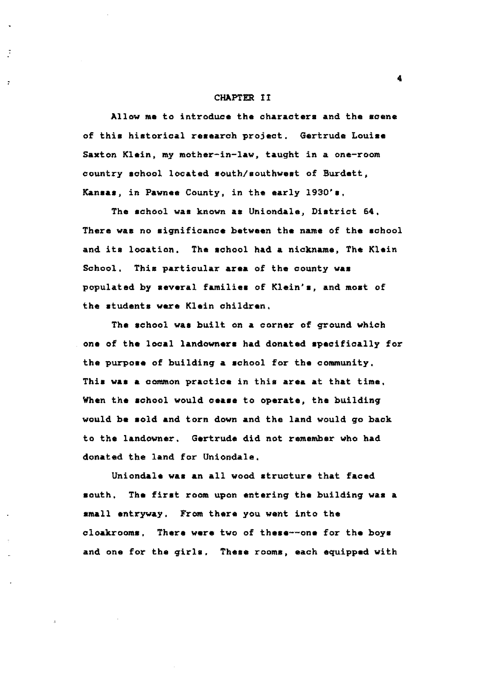#### CHAPTER II

Allow ma to introduce the characters and the scene of this historical research project, Gertruda Louise Saxton Klein, my mother-in-law, taught in a one-room country achool located aouth/southwest of Burdett, **Kansaa,** in Pawnee County, in the early 1930's,

The school was known **aa** Uniondale, District 64, There was no significance between the name of the school and ita location, The school had a nickname, The Klein School. Thia particular **area** of the county **waa**  populated by evaral **families** of Klein' ■, and moat of the atudenta ware Klein children,

The school waa built on **a** corner of ground which one of the local **landowners** had donated specifically for the purpose of building **a** achool for the community, This was a common practice in this area at that time, When the achool would **oeaae** to operate, the building would **be** sold and torn down and the land would go hack to the landowner, Gertrude did not remember who had donated the land for Uniondale,

Uniondale was an all wood structure that faced south, The first room upon entering the building was a mall entryway, From there you went into the cloakrooms. There were two of these--one for the hoys and one for the girls. These rooms, each equipped with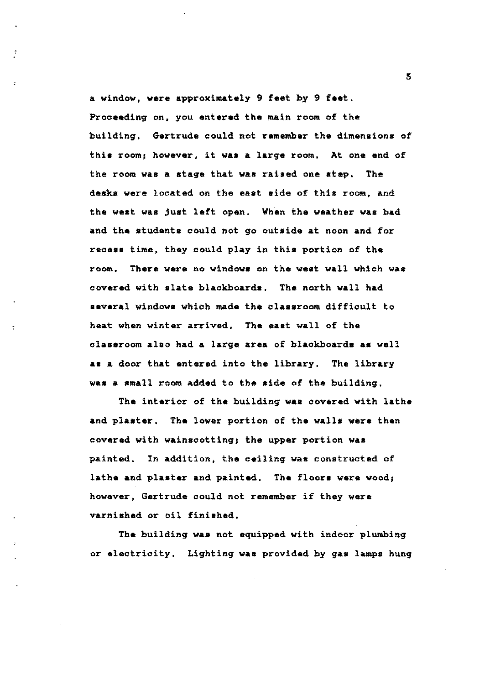a window, were approximately 9 feet by 9 feet, Proceeding on, you entered the main room of the building. Gertrude could not remember the dimenaiona of this room; however, it was a large room. At one end of the room was a stage that was raised one step. The desks were located on the east side of this room, and the west was just left open. When the weather was bad and the students could not go outside at noon and for recess time, they could play in this portion of the room. There were no windows on the west wall which was covered with slate blackboards, The north wall had several windows which made the classroom difficult to heat when winter arrived. The east wall of the classroom also had a large area of blackboards as well **as a** door that entered into the library, The library **was a** small room added to the aide of the building.

The interior of the building **was** covered with lathe and plaater, The lower portion of the walls were then covered with wainscotting; the upper portion **was**  painted. In addition, the ceiling **was** constructed of lathe and plaster and painted. The floors were wood; however, Gertrude could not remember if they were varnished or oil finished,

The building **waa** not equipped with indoor plumbing or electricity. Lighting **was** provided by gaa lamps hung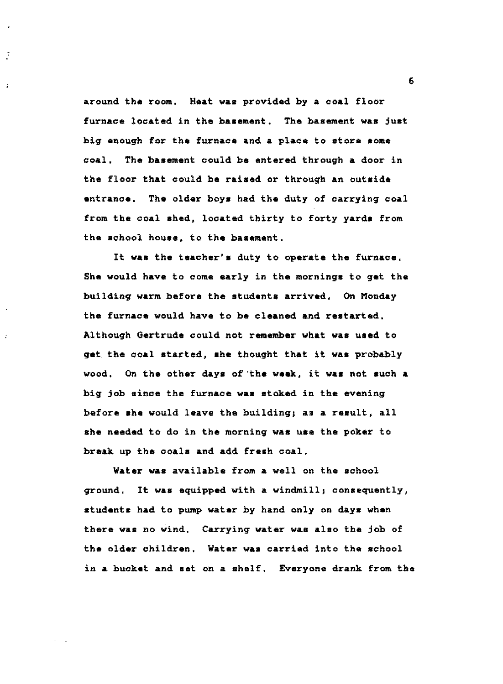around the room, Heat **was** provided by a coal floor furnace located in the basement. The basement was just big enough for the furnace and a place to store some coal. The basement could be entered through a door in the floor that could be raised or through an outside entrance. The older boys had the duty of carrying coal from the coal shed, located thirty to forty yards from the school house, to the basement.

J

 $\mathbf{r}$ 

It was the teacher's duty to operate the furnace, She would have to come early in the mornings to get the building warm before the students arrived. On Monday the furnace would have to be cleaned and restarted, Although Gertrude could not remember what was used to get the coal started, she thought that it was probably wood, On the other days of the week, it was not such a big job since the furnace was stoked in the evening before she would leave the building, as a result, all she needed to do in the morning was use the poker to break. up the coals and add fresh coal.

**Water was** available from **a** well on the school ground. It was equipped with a windmill; consequently, students had to pump water by hand only on days when there **waa** no wind, Carrying water was alao the job of the older children. Water was carried into the school in a bucket and set on a shelf. Everyone drank from the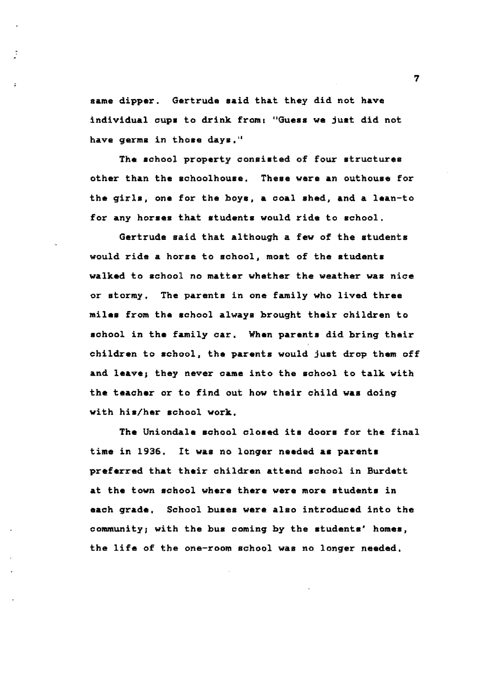same dipper. Gertrude said that they did not have individual oups to drink from: "Guess we just did not have germs in those days."

The school property consisted of four structures other than the sohoolhouse. These were an outhouse for the girls, one for the boye, a coal shed, and a lean-to for any horses that students would ride to school.

Gertrude said that although a few of the students would ride a horse to school, most of the students walked to aohool no matter whether the weather **was** nice or stormy. The parents in one family who lived three **miles** from the echool always brought their ohildren to school in the family car. When parents did bring their children to school, the parents would just drop them off and leave; they never came into the school to talk with the teacher or to find out how their child **was** doing with his/her school work,

The Uniondale school closed its doors for the final time in 1936. It **was** no longer needed as parent• preferred that their children attend school in Burdett at the town school where there were more etudenta in each grade, School buses were also introduced into the community, with the bua coming by the students' homes, the life of the one-room school was no longer needed,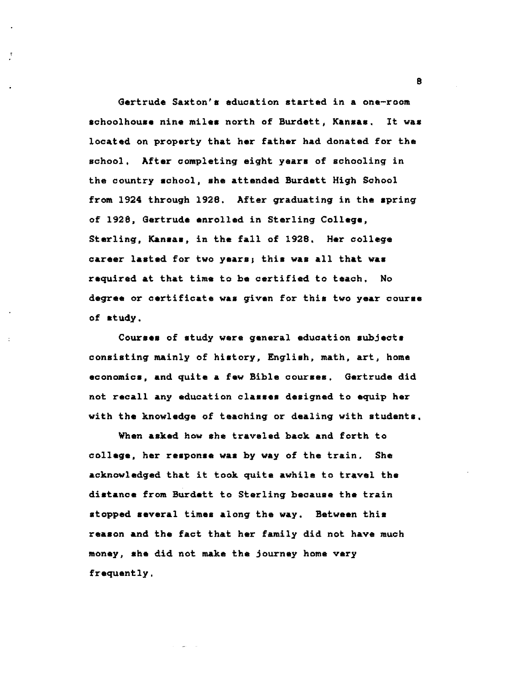Gertrude Saxton's education started in a one-room schoolhouse nine miles north of Burdett, Kansas, It was located on property that her father had donated for the school. After completing eight years of schooling in the country school, aha attended Burdett High School from 1924 through 1928, After graduating in the spring of 1928, Gertrude enrolled in Sterling Collage, Sterling, Kansas, in the fall of 1928. Her college career lasted for two years; this was all that was required at that time to be certified to teach, No degree or certificate was given for this two year course of mtudy.

Couraea of study were general education subjects consisting mainly of history, English, math, art, home economics, and quite a few Bible courses, Gertrude did not recall any education classes designed to equip her with the knowledge of teaching or dealing with students,

When **asked** how she traveled back and forth to collage, her response waa by way of the train, She acknowledged that it took quite awhile to travel the distance from Burdett to Sterling because the train stopped several times along the way. Between this reason and the fact that her family did not have much money, she did not make the journey home vary frequently,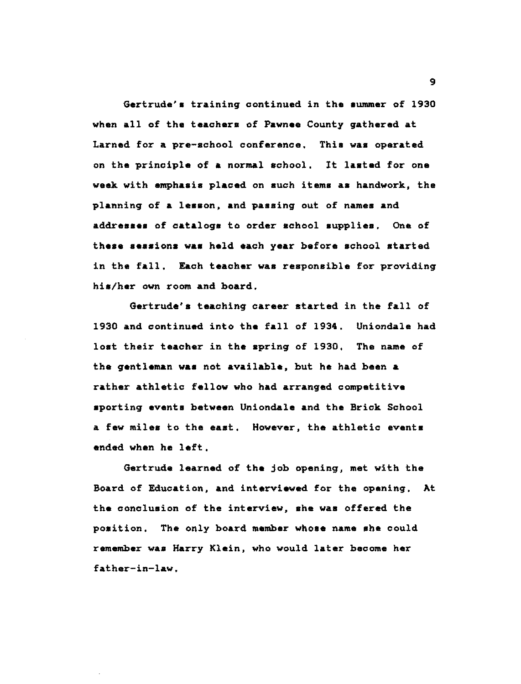Gertrude's training continued in the **summer** of 1930 when all of the **teachers** of **Pawnee** County gathered at Larned for a pre-school conference, Thia was operated on the principle of **a** normal school, It **lasted** for one **week** with **emphasis placed** on such **items as** handwork, the planning of **a lesson, and passing** out of names and **addresses** of catalogs to order school supplies, One of these sessions was held each year before school started in the fall. Each teacher was responsible for providing his/her own room and board.

Gertrude's teaching career started in the fall of 1930 and continued into the fall of 1934, Uniondale had lost their teacher in the spring of 1930, The name of the gentleman **was** not available, but he had been a rather athletic fellow who had arranged competitive sporting events between Uniondale and the Brick School a few miles to the east. However, the athletic events ended when he left,

Gertrude learned of the job opening, met with the Board of Education, and interviewed for the opening, At the conclusion of the interview, she was offered the position. The only board member whose name she could remember was Harry Klein, who would later become her father-in-law,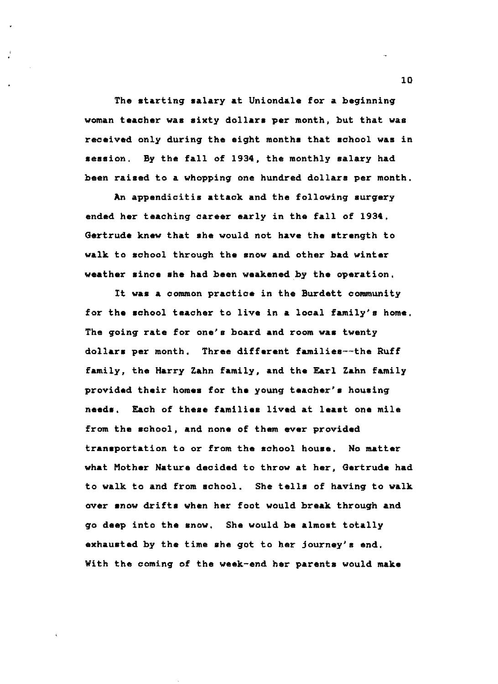The starting salary at Uniondale for a beginning woman teacher was sixty dollars per month, but that was received only during the eight months that school **was** in session. By the fall of 1934, the monthly salary had been raised to a whopping one hundred dollars per month.

An appendicitis attack and the following surgery ended her teaching career early in the fall of 1934, Gertrude knew that she would not have the strength to walk to school through the snow and other bad winter weather since she had been weakened by the operation,

It **was a** common practice in the Burdett community for the school teacher to live in **a** local family's home, The *going* rate for one's board and room **was** twenty dollars per month, Three different familiea--the Ruff family, the Harry Zahn family, and the Earl Zahn family provided their homes for the young teacher's housing needs. Each of these families lived at least one mile from the achool, and none of them ever provided transportation to or from the school house. No matter what Mother Nature decided to throw at her, Gertrude had to walk to and from school. She tells of having to walk over snow drifts when her foot would break through and go deep into the snow. She would be almost totally exhauated by the time ahe got to her journey's end, With the coming of the week-end her parents would **make**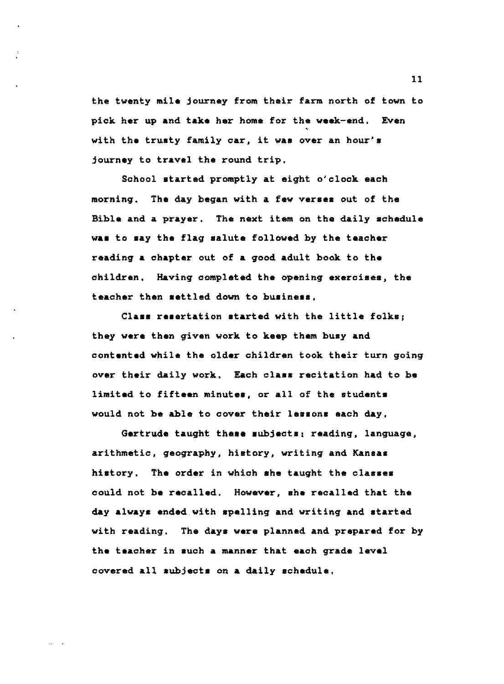the twenty **mile** journey from their farm north of town to pick her up and take her home for the **week-end,** Even with the trusty family car, it was over an hour's journey to travel the round trip,

School started promptly at eight o'clock each morning. **The** day began with **a few veraea** out of the Bible and a prayer, The next item on the daily schedule **waa** to aay the flag salute followed hy the teacher reading **a** chapter out of **a** good adult book to the children, Having completed the opening **exercises,** the teacher then settled down to **huaineas,** 

Class resertation started with the little folks: they **were** then given work to **keep** them huay and contented while the older children took their turn going over their daily work. Each **class** recitation had to **ha**  limited to fifteen minutes, or all of the students would not he able to cover their lessons each day,

Gertrude taught these subjects: reading, language, arithmetic, geography, history, writing and Kansas history. The order in which she taught the classes could not be recalled, However, she recalled that the day always ended.with spelling and writing and started with reading. The daya were planned and prepared for hy the teacher in such a manner that each grade level covered all subjects on **a** daily schedule,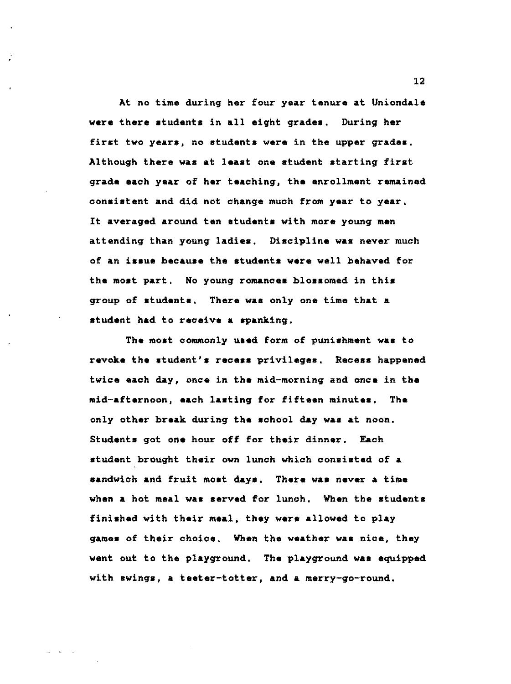At no time during her four year tenure at Uniondale **were** there atudenta in all eight gradea. During her firat two **years,** no students were in the upper **grades.**  Although there **was** at **least** one student starting first grade each year of her teaching, the enrollment remained consistent and did not change much from year to year, It averaged around ten students with more young men attending than young ladies. Discipline was never much of an **i•sue** becau•e the •tudent• **were** well behaved for the most part, No young romances blossomed in this group of students, There was only one time that a student had to receive a spanking,

The most commonly used form of punishment was to revoke the tudent's **recess** privileges, Recess happened twice each day, once in the mid-morning and once in the mid-afternoon, each lasting for fifteen minutes, The only other **break** during the school day **was** at noon, Students got **one** hour off for their dinner, Each student brought their own lunch which consisted of **<sup>a</sup>** sandwich and fruit moat **days.** There was never a time when a hot meal **was served** for lunch, When the students finished with their **meal,** they **were** allowed to play games of their choice, When the weather was nice, they went out to the playground, The playground was equipped with swings, a teeter-totter, and a merry-go-round,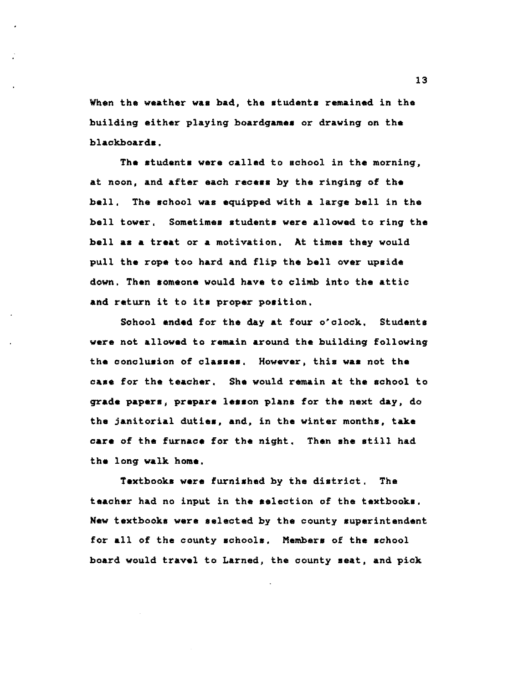When the weather was bad, the students remained in the building either playing boardgamea or drawing on the blackboards.

The atudenta **were** called to achool in the morning, at noon, and after each **receas** by the ringing of **the**  bell, The achool waa equipped with **a** large bell in the bell tower, Sometimes students were allowed to ring the bell **aa a** treat or **a** motivation, At timea they would pull the rope too hard and flip the bell over upaide down. Then aomeone would have to climb into the attic and return it to ita proper poaition,

School ended for the day at four o'clock, Students were not allowed to remain around the building following the concluaion of claaaea, However, thia **waa** not the caae for the teacher, She would remain at the achool to **grade papera, prepare leaaon** plana for the next day, do the janitorial dutiea, and, in the winter montha, take **care** of the furnace for the night, Then ahe atill had the long **walk home,** 

Textbooks were furnished by the district, The **teacher** had no input in the election of the textbooks, **New** textbook■ **were** selected by the county superintendent for all of the county achoola, **Members** of the school board would travel to Larned, the county **aeat,** and pick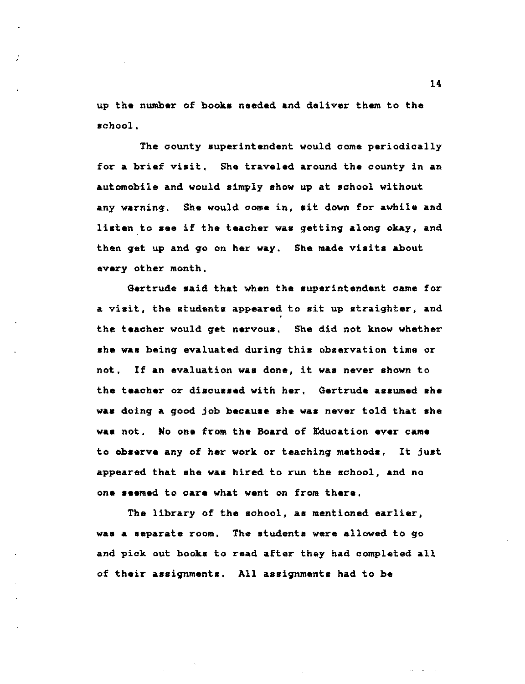up the number of books needed and deliver them to the school,

The county superintendent would come periodically for **a** brief visit, She traveled around the county in an automobile and would simply show up at school without any warning. She would come in, sit down for awhile and listen to **see** if the teacher was getting along okay, and then get up and go on her way, She made visits about every other month,

Gertrude said that when the superintendent came for a visit, the students appeared to sit up straighter, and the teacher would get nervous, She did not know whether **she was** being evaluated during this observation time or not, If an evaluation was done, it was never shown to the teacher or discussed with her, Gertrude assumed she **was** doing **a** good job **because ahe waa** never told that ahe **was** not, No one from the Board of Education ever came to observe any of her work or teaching methods, It just appeared that she was hired to run the achool, and no one **seemed** to care what went on from there.

The library of the school, **as** mentioned earlier, was a separate room, The students were allowed to go and pick out books to read after they had completed all of their assignmenta. All assignments had to be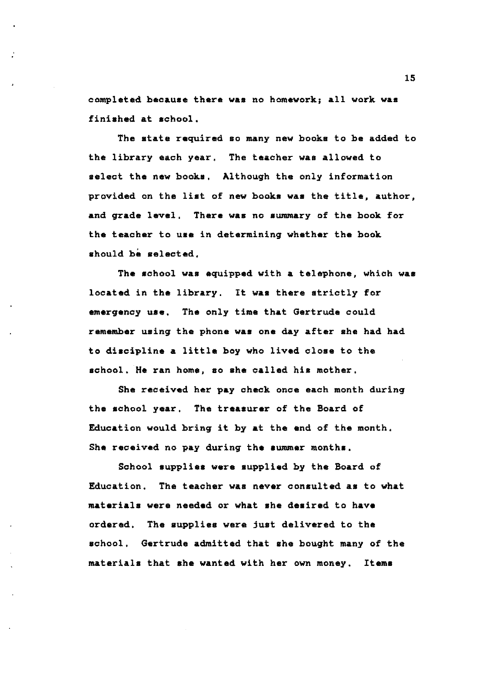completed because there **was** no homework; all work **was**  finished at school.

The state required so many new books to be added to the library each year, The teacher **was** allowed to select the new books, Although the only information provided on the list of new books **was** the title, author, and grade level, There **was** no summary of the book for the teacher to use in determining whether the book should be selected.

The school **was** equipped with **a** telephone, which **was**  located in the library, It **was** there strictly for emergency **uae,** The only time that Gertrude could remember using the phone **was** one day after she had had to discipline a little boy who lived close to the school, He ran home, so she called his mother,

She received her pay check once each month during the achool year, The **treasurer** of the Board of Education would bring it by at the end of the month. She received no pay during the **summer** months,

School supplies were supplied by the Board of Education, The teacher was never consulted **as** to what **materials were needed** or what **she desired** to **have**  ordered, school. Gertrude admitted that she bought many of the The supplies were just delivered to the materials that she wanted with her own money, **Items**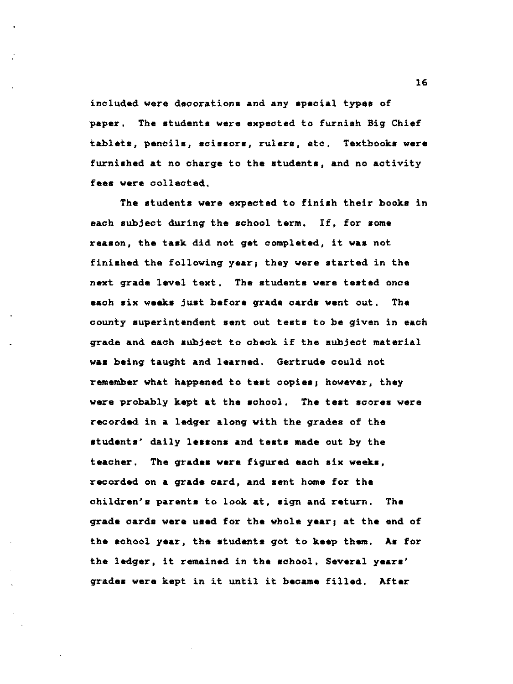included were decorations and any special types of paper, The students were expected to furnish Big Chief tablets, pencils, scissors, rulers, etc, Textbooks were furnished at no charge to the students, and no activity **fees were** collected,

The students were expected to finish their books in each subject during the school term, If, for some reason, the taak did not get completed, it **waa** not finiahed the following year; they were started in the next grade level text, The atudenta were teated once each six weeks just before grade cards went out, The county superintendent aent out teats to be given in each grade and each subject to oheok if the subject material **was** being taught and learned. Gertrude could not remember what happened to teat copies, however, they were probably kept at the school. The test scores were recorded in **a** ledger along with the grades of the students' daily **leaaona** and **teats** made out by the teacher, The **grades were** figured each **aix** week , recorded on a grade card, and sent home for the children's parents to look at, sign and return. The grade cards were used for the whole year, at the end of the school year, the students got to keep them, **As** for the ledger, it remained in the school, Several years' grades were kept in it until it became filled, After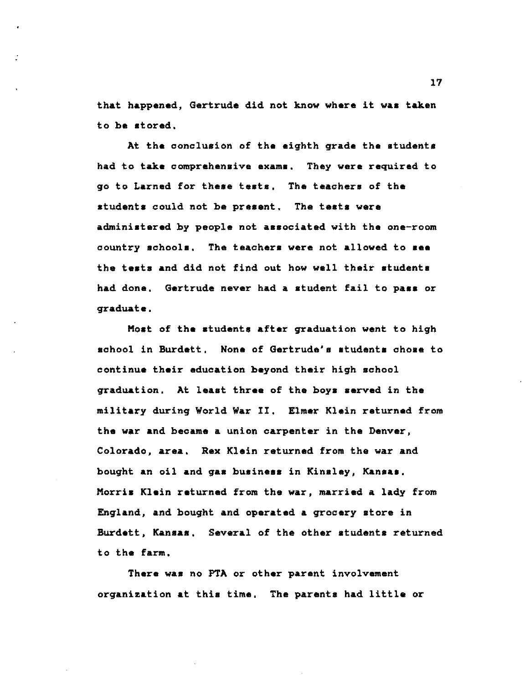that happened, Gertrude did not know where it **was** taken to be stored,

At the conclusion of the eighth grade the students had to take comprehensive exam■, They were required to go to Larned for these tests, The teachers of the students could not be present, The tests were administered by people not associated with the one-room country schools, The teachers were not allowed to see the tests and did not find out how well their students had done, Gertrude never had a student fail to **pass** or graduate,

Most of the students after graduation went to high school in Burdett, None of Gertrude's students chose to continue their education beyond their high school graduation, At least three of the boys **served** in the military during World War II. Elmer Klein returned from the war and became a union carpenter in the Denver, Colorado, **area,** Rex Klein returned from the war and bought an oil and gas business in Kinsley, Kansas. Morris Klein returned from the war, married a lady from England, and bought and operated **a** grocery store in Burdett, Kansas, Several of the other students returned to the farm,

There was no PTA or other parent involvement organization at this time. The parents had little or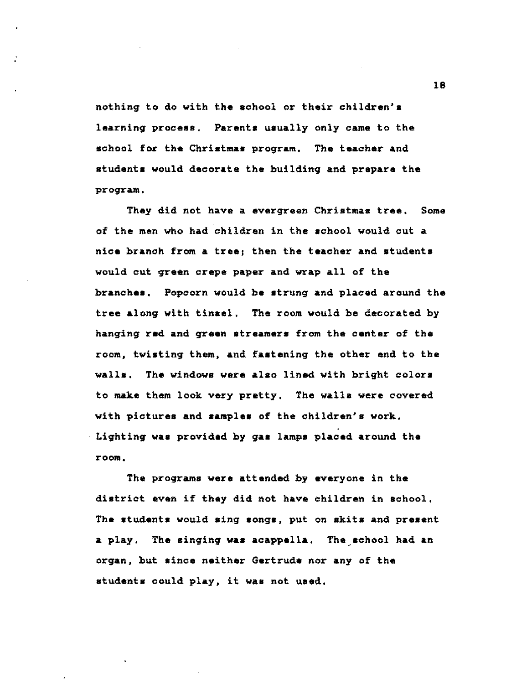nothing to do with the school or their children's learning process. Parents usually only came to the school for the Christmas program. The teacher and students would decorate the building and prepare the program.

They did not have a evergreen Christmas tree. Some of the men who had children in the school would out **a nice** branch from a tree; then the teacher and students would cut **green** crepe paper and wrap all of the **branches.** Popcorn would be strung and placed around the tree along with tinsel, The room would be decorated by hanging red and green **streamers** from the center of the room, twisting them, and **fastening** the other end to the **walls. The** windows **were also** lined with bright colors to make them look very pretty. The walls were covered with pictures and samples of the children's work. Lighting **was** provided by gas lamps placed around the **room.** 

The programs **were** attended by everyone in the district **even** if they did not have children in school, The students would sing songs, put on skits and present **a** play. The singing **was** acappella. The,school had an organ, but since neither Gertrude nor any of the students could play, it was not used.